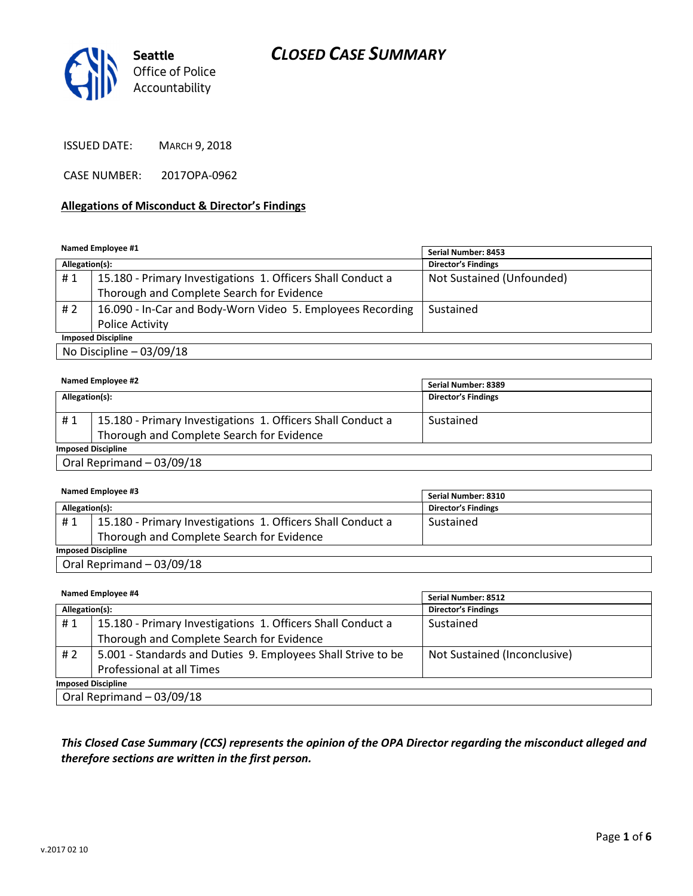## CLOSED CASE SUMMARY



ISSUED DATE: MARCH 9, 2018

CASE NUMBER: 2017OPA-0962

#### Allegations of Misconduct & Director's Findings

Named Employee #1

| <b>NAME CONSIDER</b>      |                                                             | Serial Number: 8453        |  |
|---------------------------|-------------------------------------------------------------|----------------------------|--|
| Allegation(s):            |                                                             | <b>Director's Findings</b> |  |
| #1                        | 15.180 - Primary Investigations 1. Officers Shall Conduct a | Not Sustained (Unfounded)  |  |
|                           | Thorough and Complete Search for Evidence                   |                            |  |
| # 2                       | 16.090 - In-Car and Body-Worn Video 5. Employees Recording  | Sustained                  |  |
|                           | Police Activity                                             |                            |  |
| <b>Imposed Discipline</b> |                                                             |                            |  |
| No Discipline $-03/09/18$ |                                                             |                            |  |

| Named Employee #2         |                                                             | Serial Number: 8389        |  |
|---------------------------|-------------------------------------------------------------|----------------------------|--|
| Allegation(s):            |                                                             | <b>Director's Findings</b> |  |
|                           |                                                             |                            |  |
| #1                        | 15.180 - Primary Investigations 1. Officers Shall Conduct a | Sustained                  |  |
|                           | Thorough and Complete Search for Evidence                   |                            |  |
| <b>Imposed Discipline</b> |                                                             |                            |  |
| Oral Reprimand - 03/09/18 |                                                             |                            |  |

#### Named Employee #3 Allegation(s): Director's Findings # 1  $\mid$  15.180 - Primary Investigations 1. Officers Shall Conduct a Thorough and Complete Search for Evidence Sustained Imposed Discipline Oral Reprimand – 03/09/18 Serial Number: 8310

Named Employee #4 Allegation(s): Director's Findings #1 | 15.180 - Primary Investigations 1. Officers Shall Conduct a Thorough and Complete Search for Evidence Sustained # 2 | 5.001 - Standards and Duties 9. Employees Shall Strive to be Professional at all Times Not Sustained (Inconclusive) Imposed Discipline Oral Reprimand – 03/09/18 Serial Number: 8512

## This Closed Case Summary (CCS) represents the opinion of the OPA Director regarding the misconduct alleged and therefore sections are written in the first person.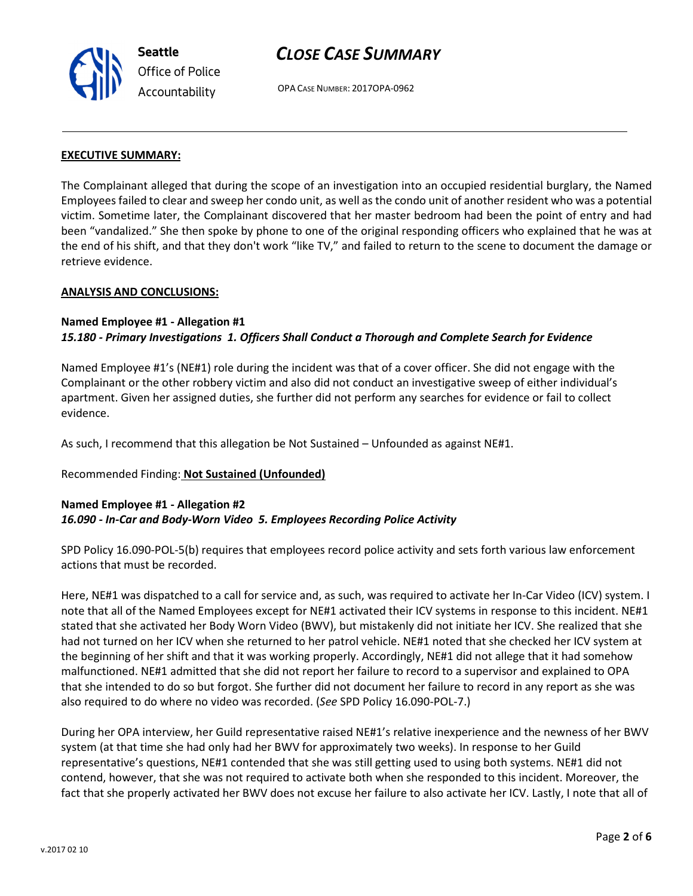

## CLOSE CASE SUMMARY

OPA CASE NUMBER: 2017OPA-0962

#### EXECUTIVE SUMMARY:

The Complainant alleged that during the scope of an investigation into an occupied residential burglary, the Named Employees failed to clear and sweep her condo unit, as well as the condo unit of another resident who was a potential victim. Sometime later, the Complainant discovered that her master bedroom had been the point of entry and had been "vandalized." She then spoke by phone to one of the original responding officers who explained that he was at the end of his shift, and that they don't work "like TV," and failed to return to the scene to document the damage or retrieve evidence.

#### ANALYSIS AND CONCLUSIONS:

#### Named Employee #1 - Allegation #1 15.180 - Primary Investigations 1. Officers Shall Conduct a Thorough and Complete Search for Evidence

Named Employee #1's (NE#1) role during the incident was that of a cover officer. She did not engage with the Complainant or the other robbery victim and also did not conduct an investigative sweep of either individual's apartment. Given her assigned duties, she further did not perform any searches for evidence or fail to collect evidence.

As such, I recommend that this allegation be Not Sustained – Unfounded as against NE#1.

## Recommended Finding: Not Sustained (Unfounded)

## Named Employee #1 - Allegation #2 16.090 - In-Car and Body-Worn Video 5. Employees Recording Police Activity

SPD Policy 16.090-POL-5(b) requires that employees record police activity and sets forth various law enforcement actions that must be recorded.

Here, NE#1 was dispatched to a call for service and, as such, was required to activate her In-Car Video (ICV) system. I note that all of the Named Employees except for NE#1 activated their ICV systems in response to this incident. NE#1 stated that she activated her Body Worn Video (BWV), but mistakenly did not initiate her ICV. She realized that she had not turned on her ICV when she returned to her patrol vehicle. NE#1 noted that she checked her ICV system at the beginning of her shift and that it was working properly. Accordingly, NE#1 did not allege that it had somehow malfunctioned. NE#1 admitted that she did not report her failure to record to a supervisor and explained to OPA that she intended to do so but forgot. She further did not document her failure to record in any report as she was also required to do where no video was recorded. (See SPD Policy 16.090-POL-7.)

During her OPA interview, her Guild representative raised NE#1's relative inexperience and the newness of her BWV system (at that time she had only had her BWV for approximately two weeks). In response to her Guild representative's questions, NE#1 contended that she was still getting used to using both systems. NE#1 did not contend, however, that she was not required to activate both when she responded to this incident. Moreover, the fact that she properly activated her BWV does not excuse her failure to also activate her ICV. Lastly, I note that all of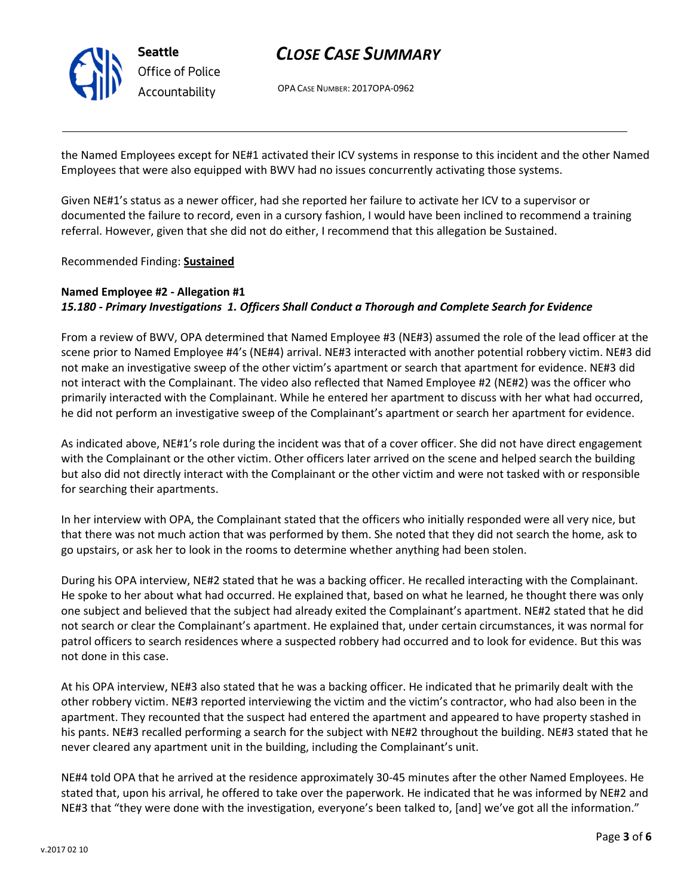

## CLOSE CASE SUMMARY

OPA CASE NUMBER: 2017OPA-0962

the Named Employees except for NE#1 activated their ICV systems in response to this incident and the other Named Employees that were also equipped with BWV had no issues concurrently activating those systems.

Given NE#1's status as a newer officer, had she reported her failure to activate her ICV to a supervisor or documented the failure to record, even in a cursory fashion, I would have been inclined to recommend a training referral. However, given that she did not do either, I recommend that this allegation be Sustained.

Recommended Finding: Sustained

## Named Employee #2 - Allegation #1 15.180 - Primary Investigations 1. Officers Shall Conduct a Thorough and Complete Search for Evidence

From a review of BWV, OPA determined that Named Employee #3 (NE#3) assumed the role of the lead officer at the scene prior to Named Employee #4's (NE#4) arrival. NE#3 interacted with another potential robbery victim. NE#3 did not make an investigative sweep of the other victim's apartment or search that apartment for evidence. NE#3 did not interact with the Complainant. The video also reflected that Named Employee #2 (NE#2) was the officer who primarily interacted with the Complainant. While he entered her apartment to discuss with her what had occurred, he did not perform an investigative sweep of the Complainant's apartment or search her apartment for evidence.

As indicated above, NE#1's role during the incident was that of a cover officer. She did not have direct engagement with the Complainant or the other victim. Other officers later arrived on the scene and helped search the building but also did not directly interact with the Complainant or the other victim and were not tasked with or responsible for searching their apartments.

In her interview with OPA, the Complainant stated that the officers who initially responded were all very nice, but that there was not much action that was performed by them. She noted that they did not search the home, ask to go upstairs, or ask her to look in the rooms to determine whether anything had been stolen.

During his OPA interview, NE#2 stated that he was a backing officer. He recalled interacting with the Complainant. He spoke to her about what had occurred. He explained that, based on what he learned, he thought there was only one subject and believed that the subject had already exited the Complainant's apartment. NE#2 stated that he did not search or clear the Complainant's apartment. He explained that, under certain circumstances, it was normal for patrol officers to search residences where a suspected robbery had occurred and to look for evidence. But this was not done in this case.

At his OPA interview, NE#3 also stated that he was a backing officer. He indicated that he primarily dealt with the other robbery victim. NE#3 reported interviewing the victim and the victim's contractor, who had also been in the apartment. They recounted that the suspect had entered the apartment and appeared to have property stashed in his pants. NE#3 recalled performing a search for the subject with NE#2 throughout the building. NE#3 stated that he never cleared any apartment unit in the building, including the Complainant's unit.

NE#4 told OPA that he arrived at the residence approximately 30-45 minutes after the other Named Employees. He stated that, upon his arrival, he offered to take over the paperwork. He indicated that he was informed by NE#2 and NE#3 that "they were done with the investigation, everyone's been talked to, [and] we've got all the information."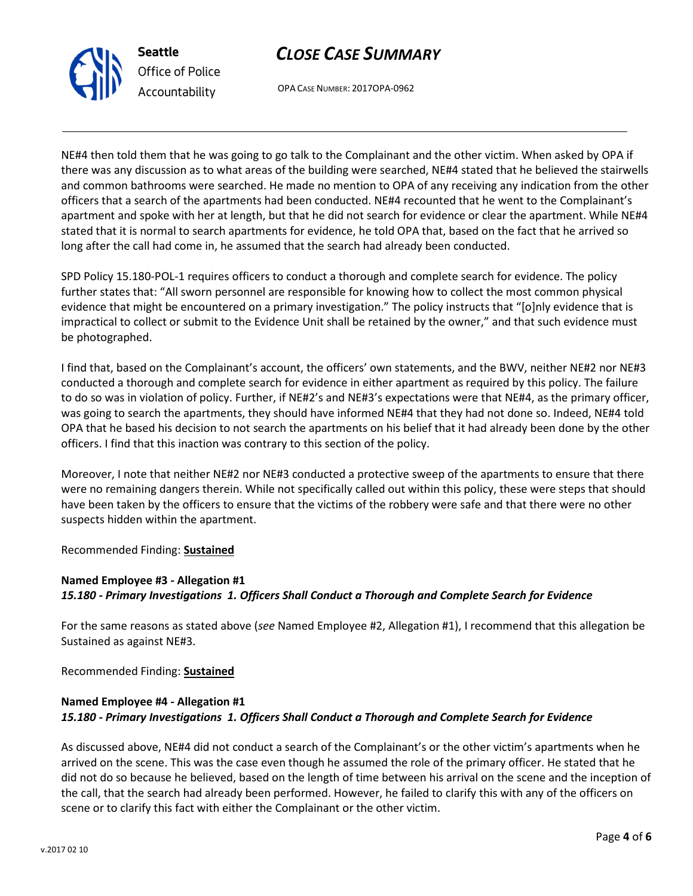

Seattle Office of Police Accountability

## CLOSE CASE SUMMARY

OPA CASE NUMBER: 2017OPA-0962

NE#4 then told them that he was going to go talk to the Complainant and the other victim. When asked by OPA if there was any discussion as to what areas of the building were searched, NE#4 stated that he believed the stairwells and common bathrooms were searched. He made no mention to OPA of any receiving any indication from the other officers that a search of the apartments had been conducted. NE#4 recounted that he went to the Complainant's apartment and spoke with her at length, but that he did not search for evidence or clear the apartment. While NE#4 stated that it is normal to search apartments for evidence, he told OPA that, based on the fact that he arrived so long after the call had come in, he assumed that the search had already been conducted.

SPD Policy 15.180-POL-1 requires officers to conduct a thorough and complete search for evidence. The policy further states that: "All sworn personnel are responsible for knowing how to collect the most common physical evidence that might be encountered on a primary investigation." The policy instructs that "[o]nly evidence that is impractical to collect or submit to the Evidence Unit shall be retained by the owner," and that such evidence must be photographed.

I find that, based on the Complainant's account, the officers' own statements, and the BWV, neither NE#2 nor NE#3 conducted a thorough and complete search for evidence in either apartment as required by this policy. The failure to do so was in violation of policy. Further, if NE#2's and NE#3's expectations were that NE#4, as the primary officer, was going to search the apartments, they should have informed NE#4 that they had not done so. Indeed, NE#4 told OPA that he based his decision to not search the apartments on his belief that it had already been done by the other officers. I find that this inaction was contrary to this section of the policy.

Moreover, I note that neither NE#2 nor NE#3 conducted a protective sweep of the apartments to ensure that there were no remaining dangers therein. While not specifically called out within this policy, these were steps that should have been taken by the officers to ensure that the victims of the robbery were safe and that there were no other suspects hidden within the apartment.

Recommended Finding: Sustained

## Named Employee #3 - Allegation #1 15.180 - Primary Investigations 1. Officers Shall Conduct a Thorough and Complete Search for Evidence

For the same reasons as stated above (see Named Employee #2, Allegation #1), I recommend that this allegation be Sustained as against NE#3.

Recommended Finding: Sustained

## Named Employee #4 - Allegation #1 15.180 - Primary Investigations 1. Officers Shall Conduct a Thorough and Complete Search for Evidence

As discussed above, NE#4 did not conduct a search of the Complainant's or the other victim's apartments when he arrived on the scene. This was the case even though he assumed the role of the primary officer. He stated that he did not do so because he believed, based on the length of time between his arrival on the scene and the inception of the call, that the search had already been performed. However, he failed to clarify this with any of the officers on scene or to clarify this fact with either the Complainant or the other victim.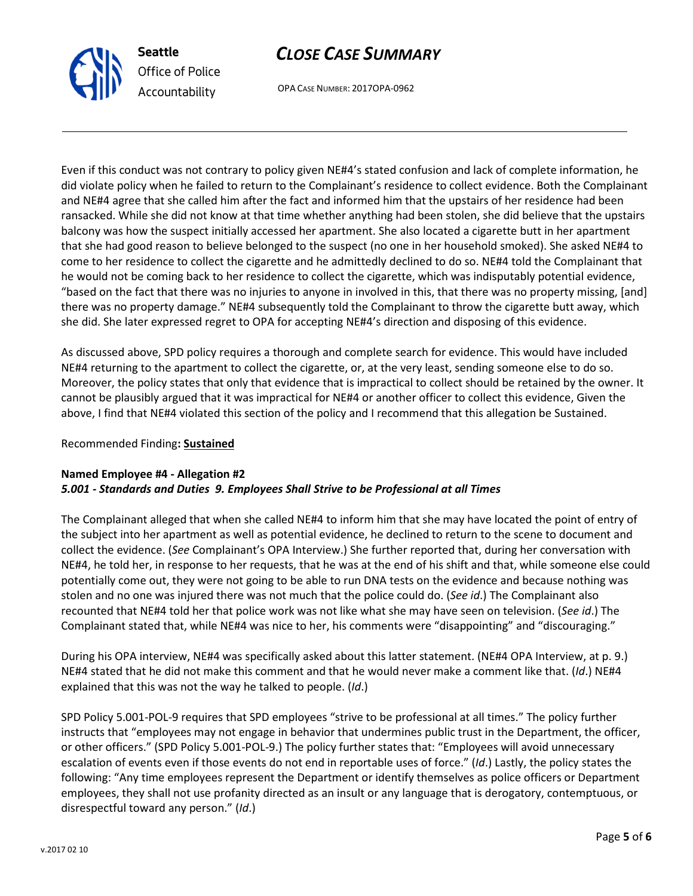

Seattle Office of Police Accountability

# CLOSE CASE SUMMARY

OPA CASE NUMBER: 2017OPA-0962

Even if this conduct was not contrary to policy given NE#4's stated confusion and lack of complete information, he did violate policy when he failed to return to the Complainant's residence to collect evidence. Both the Complainant and NE#4 agree that she called him after the fact and informed him that the upstairs of her residence had been ransacked. While she did not know at that time whether anything had been stolen, she did believe that the upstairs balcony was how the suspect initially accessed her apartment. She also located a cigarette butt in her apartment that she had good reason to believe belonged to the suspect (no one in her household smoked). She asked NE#4 to come to her residence to collect the cigarette and he admittedly declined to do so. NE#4 told the Complainant that he would not be coming back to her residence to collect the cigarette, which was indisputably potential evidence, "based on the fact that there was no injuries to anyone in involved in this, that there was no property missing, [and] there was no property damage." NE#4 subsequently told the Complainant to throw the cigarette butt away, which she did. She later expressed regret to OPA for accepting NE#4's direction and disposing of this evidence.

As discussed above, SPD policy requires a thorough and complete search for evidence. This would have included NE#4 returning to the apartment to collect the cigarette, or, at the very least, sending someone else to do so. Moreover, the policy states that only that evidence that is impractical to collect should be retained by the owner. It cannot be plausibly argued that it was impractical for NE#4 or another officer to collect this evidence, Given the above, I find that NE#4 violated this section of the policy and I recommend that this allegation be Sustained.

Recommended Finding: Sustained

## Named Employee #4 - Allegation #2 5.001 - Standards and Duties 9. Employees Shall Strive to be Professional at all Times

The Complainant alleged that when she called NE#4 to inform him that she may have located the point of entry of the subject into her apartment as well as potential evidence, he declined to return to the scene to document and collect the evidence. (See Complainant's OPA Interview.) She further reported that, during her conversation with NE#4, he told her, in response to her requests, that he was at the end of his shift and that, while someone else could potentially come out, they were not going to be able to run DNA tests on the evidence and because nothing was stolen and no one was injured there was not much that the police could do. (See id.) The Complainant also recounted that NE#4 told her that police work was not like what she may have seen on television. (See id.) The Complainant stated that, while NE#4 was nice to her, his comments were "disappointing" and "discouraging."

During his OPA interview, NE#4 was specifically asked about this latter statement. (NE#4 OPA Interview, at p. 9.) NE#4 stated that he did not make this comment and that he would never make a comment like that. (Id.) NE#4 explained that this was not the way he talked to people. (Id.)

SPD Policy 5.001-POL-9 requires that SPD employees "strive to be professional at all times." The policy further instructs that "employees may not engage in behavior that undermines public trust in the Department, the officer, or other officers." (SPD Policy 5.001-POL-9.) The policy further states that: "Employees will avoid unnecessary escalation of events even if those events do not end in reportable uses of force." (Id.) Lastly, the policy states the following: "Any time employees represent the Department or identify themselves as police officers or Department employees, they shall not use profanity directed as an insult or any language that is derogatory, contemptuous, or disrespectful toward any person." (Id.)